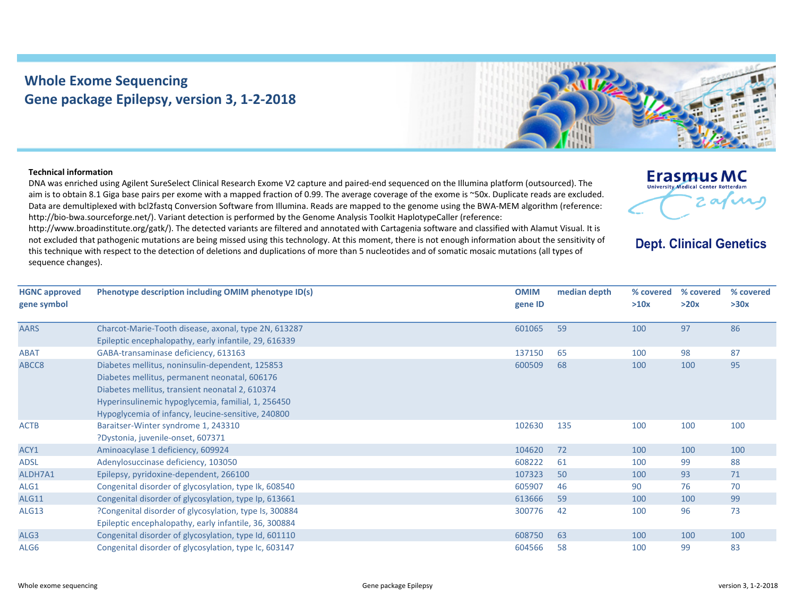## **Whole Exome Sequencing Gene package Epilepsy, version 3, 1‐2‐2018**



## **Technical information**

DNA was enriched using Agilent SureSelect Clinical Research Exome V2 capture and paired‐end sequenced on the Illumina platform (outsourced). The aim is to obtain 8.1 Giga base pairs per exome with <sup>a</sup> mapped fraction of 0.99. The average coverage of the exome is ~50x. Duplicate reads are excluded. Data are demultiplexed with bcl2fastq Conversion Software from Illumina. Reads are mapped to the genome using the BWA‐MEM algorithm (reference: http://bio-bwa.sourceforge.net/). Variant detection is performed by the Genome Analysis Toolkit HaplotypeCaller (reference:

http://www.broadinstitute.org/gatk/). The detected variants are filtered and annotated with Cartagenia software and classified with Alamut Visual. It is not excluded that pathogenic mutations are being missed using this technology. At this moment, there is not enough information about the sensitivity of this technique with respect to the detection of deletions and duplications of more than 5 nucleotides and of somatic mosaic mutations (all types of sequence changes).

| Erasmus MC                                 |       |
|--------------------------------------------|-------|
| <b>University Medical Center Rotterdam</b> | afini |
|                                            |       |

**Dept. Clinical Genetics** 

| <b>HGNC approved</b><br>gene symbol | Phenotype description including OMIM phenotype ID(s)   | <b>OMIM</b><br>gene ID | median depth | % covered<br>>10x | % covered<br>>20x | % covered<br>>30x |
|-------------------------------------|--------------------------------------------------------|------------------------|--------------|-------------------|-------------------|-------------------|
|                                     |                                                        |                        |              |                   |                   |                   |
| <b>AARS</b>                         | Charcot-Marie-Tooth disease, axonal, type 2N, 613287   | 601065                 | 59           | 100               | 97                | 86                |
|                                     | Epileptic encephalopathy, early infantile, 29, 616339  |                        |              |                   |                   |                   |
| <b>ABAT</b>                         | GABA-transaminase deficiency, 613163                   | 137150                 | 65           | 100               | 98                | 87                |
| ABCC8                               | Diabetes mellitus, noninsulin-dependent, 125853        | 600509                 | 68           | 100               | 100               | 95                |
|                                     | Diabetes mellitus, permanent neonatal, 606176          |                        |              |                   |                   |                   |
|                                     | Diabetes mellitus, transient neonatal 2, 610374        |                        |              |                   |                   |                   |
|                                     | Hyperinsulinemic hypoglycemia, familial, 1, 256450     |                        |              |                   |                   |                   |
|                                     | Hypoglycemia of infancy, leucine-sensitive, 240800     |                        |              |                   |                   |                   |
| <b>ACTB</b>                         | Baraitser-Winter syndrome 1, 243310                    | 102630                 | 135          | 100               | 100               | 100               |
|                                     | ?Dystonia, juvenile-onset, 607371                      |                        |              |                   |                   |                   |
| ACY1                                | Aminoacylase 1 deficiency, 609924                      | 104620                 | 72           | 100               | 100               | 100               |
| <b>ADSL</b>                         | Adenylosuccinase deficiency, 103050                    | 608222                 | 61           | 100               | 99                | 88                |
| ALDH7A1                             | Epilepsy, pyridoxine-dependent, 266100                 | 107323                 | 50           | 100               | 93                | 71                |
| ALG1                                | Congenital disorder of glycosylation, type Ik, 608540  | 605907                 | 46           | 90                | 76                | 70                |
| ALG11                               | Congenital disorder of glycosylation, type Ip, 613661  | 613666                 | 59           | 100               | 100               | 99                |
| <b>ALG13</b>                        | ?Congenital disorder of glycosylation, type Is, 300884 | 300776                 | 42           | 100               | 96                | 73                |
|                                     | Epileptic encephalopathy, early infantile, 36, 300884  |                        |              |                   |                   |                   |
| ALG3                                | Congenital disorder of glycosylation, type Id, 601110  | 608750                 | 63           | 100               | 100               | 100               |
| ALG6                                | Congenital disorder of glycosylation, type Ic, 603147  | 604566                 | 58           | 100               | 99                | 83                |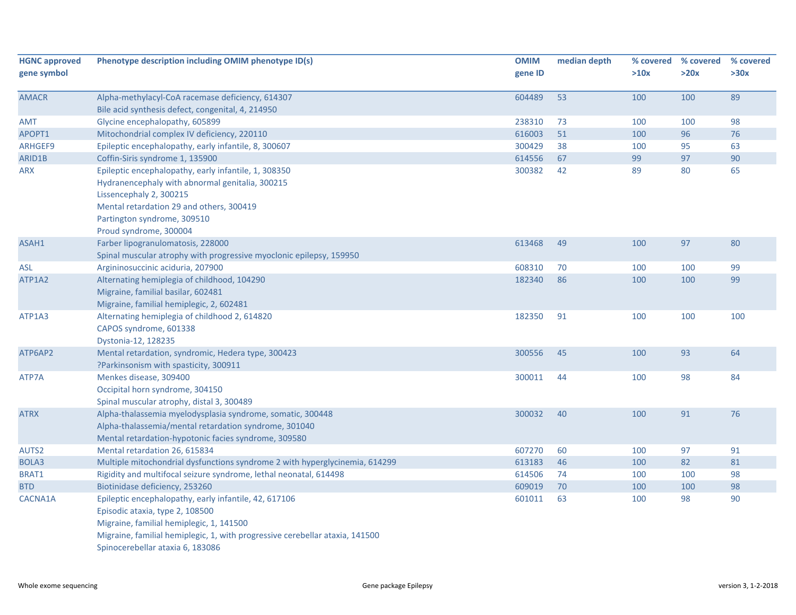| <b>HGNC approved</b><br>gene symbol | Phenotype description including OMIM phenotype ID(s)                                                                                                                                                                                                     | <b>OMIM</b><br>gene ID | median depth | % covered<br>>10x | % covered<br>>20x | % covered<br>>30x |
|-------------------------------------|----------------------------------------------------------------------------------------------------------------------------------------------------------------------------------------------------------------------------------------------------------|------------------------|--------------|-------------------|-------------------|-------------------|
| <b>AMACR</b>                        | Alpha-methylacyl-CoA racemase deficiency, 614307<br>Bile acid synthesis defect, congenital, 4, 214950                                                                                                                                                    | 604489                 | 53           | 100               | 100               | 89                |
| AMT                                 | Glycine encephalopathy, 605899                                                                                                                                                                                                                           | 238310                 | 73           | 100               | 100               | 98                |
| APOPT1                              | Mitochondrial complex IV deficiency, 220110                                                                                                                                                                                                              | 616003                 | 51           | 100               | 96                | 76                |
| ARHGEF9                             | Epileptic encephalopathy, early infantile, 8, 300607                                                                                                                                                                                                     | 300429                 | 38           | 100               | 95                | 63                |
| ARID1B                              | Coffin-Siris syndrome 1, 135900                                                                                                                                                                                                                          | 614556                 | 67           | 99                | 97                | 90                |
| <b>ARX</b>                          | Epileptic encephalopathy, early infantile, 1, 308350<br>Hydranencephaly with abnormal genitalia, 300215<br>Lissencephaly 2, 300215<br>Mental retardation 29 and others, 300419<br>Partington syndrome, 309510<br>Proud syndrome, 300004                  | 300382                 | 42           | 89                | 80                | 65                |
| ASAH1                               | Farber lipogranulomatosis, 228000<br>Spinal muscular atrophy with progressive myoclonic epilepsy, 159950                                                                                                                                                 | 613468                 | 49           | 100               | 97                | 80                |
| <b>ASL</b>                          | Argininosuccinic aciduria, 207900                                                                                                                                                                                                                        | 608310                 | 70           | 100               | 100               | 99                |
| ATP1A2                              | Alternating hemiplegia of childhood, 104290<br>Migraine, familial basilar, 602481<br>Migraine, familial hemiplegic, 2, 602481                                                                                                                            | 182340                 | 86           | 100               | 100               | 99                |
| ATP1A3                              | Alternating hemiplegia of childhood 2, 614820<br>CAPOS syndrome, 601338<br>Dystonia-12, 128235                                                                                                                                                           | 182350                 | 91           | 100               | 100               | 100               |
| ATP6AP2                             | Mental retardation, syndromic, Hedera type, 300423<br>?Parkinsonism with spasticity, 300911                                                                                                                                                              | 300556                 | 45           | 100               | 93                | 64                |
| ATP7A                               | Menkes disease, 309400<br>Occipital horn syndrome, 304150<br>Spinal muscular atrophy, distal 3, 300489                                                                                                                                                   | 300011                 | 44           | 100               | 98                | 84                |
| <b>ATRX</b>                         | Alpha-thalassemia myelodysplasia syndrome, somatic, 300448<br>Alpha-thalassemia/mental retardation syndrome, 301040<br>Mental retardation-hypotonic facies syndrome, 309580                                                                              | 300032                 | 40           | 100               | 91                | 76                |
| AUTS2                               | Mental retardation 26, 615834                                                                                                                                                                                                                            | 607270                 | 60           | 100               | 97                | 91                |
| BOLA3                               | Multiple mitochondrial dysfunctions syndrome 2 with hyperglycinemia, 614299                                                                                                                                                                              | 613183                 | 46           | 100               | 82                | 81                |
| BRAT1                               | Rigidity and multifocal seizure syndrome, lethal neonatal, 614498                                                                                                                                                                                        | 614506                 | 74           | 100               | 100               | 98                |
| <b>BTD</b>                          | Biotinidase deficiency, 253260                                                                                                                                                                                                                           | 609019                 | 70           | 100               | 100               | 98                |
| CACNA1A                             | Epileptic encephalopathy, early infantile, 42, 617106<br>Episodic ataxia, type 2, 108500<br>Migraine, familial hemiplegic, 1, 141500<br>Migraine, familial hemiplegic, 1, with progressive cerebellar ataxia, 141500<br>Spinocerebellar ataxia 6, 183086 | 601011                 | 63           | 100               | 98                | 90                |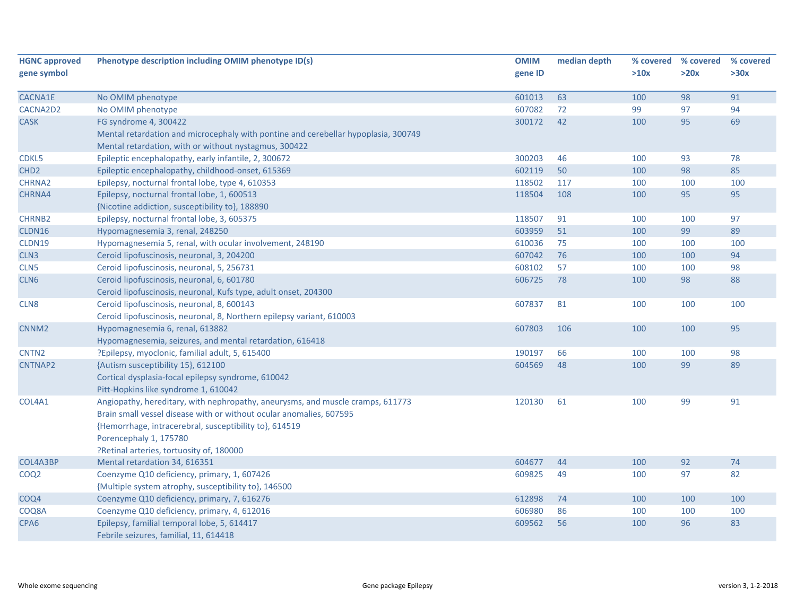| <b>HGNC approved</b> | Phenotype description including OMIM phenotype ID(s)                               | <b>OMIM</b> | median depth | % covered | % covered | % covered |
|----------------------|------------------------------------------------------------------------------------|-------------|--------------|-----------|-----------|-----------|
| gene symbol          |                                                                                    | gene ID     |              | >10x      | >20x      | >30x      |
| CACNA1E              | No OMIM phenotype                                                                  | 601013      | 63           | 100       | 98        | 91        |
| CACNA2D2             | No OMIM phenotype                                                                  | 607082      | 72           | 99        | 97        | 94        |
| <b>CASK</b>          | FG syndrome 4, 300422                                                              | 300172      | 42           | 100       | 95        | 69        |
|                      | Mental retardation and microcephaly with pontine and cerebellar hypoplasia, 300749 |             |              |           |           |           |
|                      | Mental retardation, with or without nystagmus, 300422                              |             |              |           |           |           |
| CDKL5                | Epileptic encephalopathy, early infantile, 2, 300672                               | 300203      | 46           | 100       | 93        | 78        |
| CHD <sub>2</sub>     | Epileptic encephalopathy, childhood-onset, 615369                                  | 602119      | 50           | 100       | 98        | 85        |
| CHRNA2               | Epilepsy, nocturnal frontal lobe, type 4, 610353                                   | 118502      | 117          | 100       | 100       | 100       |
| CHRNA4               | Epilepsy, nocturnal frontal lobe, 1, 600513                                        | 118504      | 108          | 100       | 95        | 95        |
|                      | {Nicotine addiction, susceptibility to}, 188890                                    |             |              |           |           |           |
| CHRNB2               | Epilepsy, nocturnal frontal lobe, 3, 605375                                        | 118507      | 91           | 100       | 100       | 97        |
| CLDN16               | Hypomagnesemia 3, renal, 248250                                                    | 603959      | 51           | 100       | 99        | 89        |
| CLDN19               | Hypomagnesemia 5, renal, with ocular involvement, 248190                           | 610036      | 75           | 100       | 100       | 100       |
| CLN3                 | Ceroid lipofuscinosis, neuronal, 3, 204200                                         | 607042      | 76           | 100       | 100       | 94        |
| CLN <sub>5</sub>     | Ceroid lipofuscinosis, neuronal, 5, 256731                                         | 608102      | 57           | 100       | 100       | 98        |
| CLN <sub>6</sub>     | Ceroid lipofuscinosis, neuronal, 6, 601780                                         | 606725      | 78           | 100       | 98        | 88        |
|                      | Ceroid lipofuscinosis, neuronal, Kufs type, adult onset, 204300                    |             |              |           |           |           |
| CLN <sub>8</sub>     | Ceroid lipofuscinosis, neuronal, 8, 600143                                         | 607837      | 81           | 100       | 100       | 100       |
|                      | Ceroid lipofuscinosis, neuronal, 8, Northern epilepsy variant, 610003              |             |              |           |           |           |
| CNNM <sub>2</sub>    | Hypomagnesemia 6, renal, 613882                                                    | 607803      | 106          | 100       | 100       | 95        |
|                      | Hypomagnesemia, seizures, and mental retardation, 616418                           |             |              |           |           |           |
| CNTN <sub>2</sub>    | ?Epilepsy, myoclonic, familial adult, 5, 615400                                    | 190197      | 66           | 100       | 100       | 98        |
| <b>CNTNAP2</b>       | {Autism susceptibility 15}, 612100                                                 | 604569      | 48           | 100       | 99        | 89        |
|                      | Cortical dysplasia-focal epilepsy syndrome, 610042                                 |             |              |           |           |           |
|                      | Pitt-Hopkins like syndrome 1, 610042                                               |             |              |           |           |           |
| COL4A1               | Angiopathy, hereditary, with nephropathy, aneurysms, and muscle cramps, 611773     | 120130      | 61           | 100       | 99        | 91        |
|                      | Brain small vessel disease with or without ocular anomalies, 607595                |             |              |           |           |           |
|                      | {Hemorrhage, intracerebral, susceptibility to}, 614519                             |             |              |           |           |           |
|                      | Porencephaly 1, 175780                                                             |             |              |           |           |           |
|                      | ?Retinal arteries, tortuosity of, 180000                                           |             |              |           |           |           |
| COL4A3BP             | Mental retardation 34, 616351                                                      | 604677      | 44           | 100       | 92        | 74        |
| COQ <sub>2</sub>     | Coenzyme Q10 deficiency, primary, 1, 607426                                        | 609825      | 49           | 100       | 97        | 82        |
|                      | {Multiple system atrophy, susceptibility to}, 146500                               |             |              |           |           |           |
| COQ4                 | Coenzyme Q10 deficiency, primary, 7, 616276                                        | 612898      | 74           | 100       | 100       | 100       |
| COQ8A                | Coenzyme Q10 deficiency, primary, 4, 612016                                        | 606980      | 86           | 100       | 100       | 100       |
| CPA <sub>6</sub>     | Epilepsy, familial temporal lobe, 5, 614417                                        | 609562      | 56           | 100       | 96        | 83        |
|                      | Febrile seizures, familial, 11, 614418                                             |             |              |           |           |           |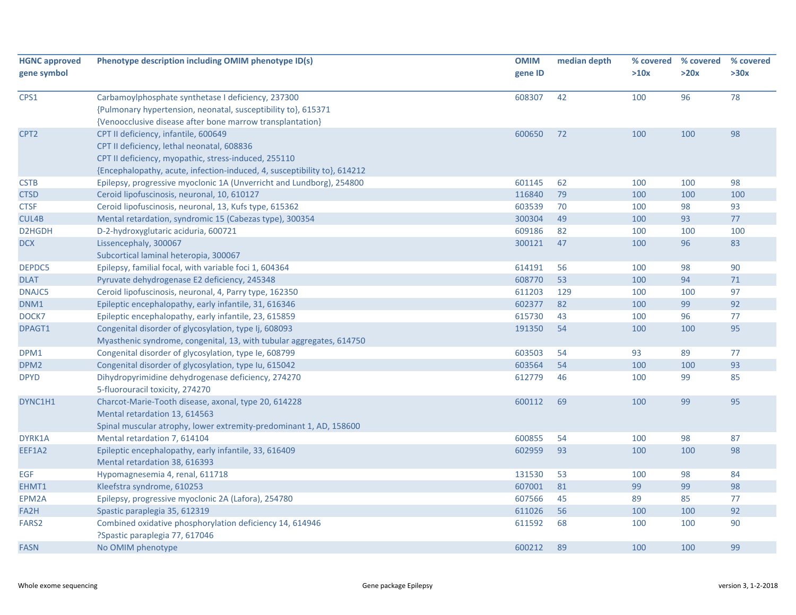| <b>HGNC approved</b><br>gene symbol | Phenotype description including OMIM phenotype ID(s)                     | <b>OMIM</b><br>gene ID | median depth | % covered<br>>10x | % covered<br>>20x | % covered<br>>30x |
|-------------------------------------|--------------------------------------------------------------------------|------------------------|--------------|-------------------|-------------------|-------------------|
|                                     |                                                                          |                        |              |                   |                   |                   |
| CPS1                                | Carbamoylphosphate synthetase I deficiency, 237300                       | 608307                 | 42           | 100               | 96                | 78                |
|                                     | {Pulmonary hypertension, neonatal, susceptibility to}, 615371            |                        |              |                   |                   |                   |
|                                     | {Venoocclusive disease after bone marrow transplantation}                |                        |              |                   |                   |                   |
| CPT <sub>2</sub>                    | CPT II deficiency, infantile, 600649                                     | 600650                 | 72           | 100               | 100               | 98                |
|                                     | CPT II deficiency, lethal neonatal, 608836                               |                        |              |                   |                   |                   |
|                                     | CPT II deficiency, myopathic, stress-induced, 255110                     |                        |              |                   |                   |                   |
|                                     | {Encephalopathy, acute, infection-induced, 4, susceptibility to}, 614212 |                        |              |                   |                   |                   |
| <b>CSTB</b>                         | Epilepsy, progressive myoclonic 1A (Unverricht and Lundborg), 254800     | 601145                 | 62           | 100               | 100               | 98                |
| <b>CTSD</b>                         | Ceroid lipofuscinosis, neuronal, 10, 610127                              | 116840                 | 79           | 100               | 100               | 100               |
| <b>CTSF</b>                         | Ceroid lipofuscinosis, neuronal, 13, Kufs type, 615362                   | 603539                 | 70           | 100               | 98                | 93                |
| CUL4B                               | Mental retardation, syndromic 15 (Cabezas type), 300354                  | 300304                 | 49           | 100               | 93                | 77                |
| D2HGDH                              | D-2-hydroxyglutaric aciduria, 600721                                     | 609186                 | 82           | 100               | 100               | 100               |
| <b>DCX</b>                          | Lissencephaly, 300067                                                    | 300121                 | 47           | 100               | 96                | 83                |
|                                     | Subcortical laminal heteropia, 300067                                    |                        |              |                   |                   |                   |
| DEPDC5                              | Epilepsy, familial focal, with variable foci 1, 604364                   | 614191                 | 56           | 100               | 98                | 90                |
| <b>DLAT</b>                         | Pyruvate dehydrogenase E2 deficiency, 245348                             | 608770                 | 53           | 100               | 94                | $71\,$            |
| <b>DNAJC5</b>                       | Ceroid lipofuscinosis, neuronal, 4, Parry type, 162350                   | 611203                 | 129          | 100               | 100               | 97                |
| DNM1                                | Epileptic encephalopathy, early infantile, 31, 616346                    | 602377                 | 82           | 100               | 99                | 92                |
| DOCK7                               | Epileptic encephalopathy, early infantile, 23, 615859                    | 615730                 | 43           | 100               | 96                | 77                |
| DPAGT1                              | Congenital disorder of glycosylation, type Ij, 608093                    | 191350                 | 54           | 100               | 100               | 95                |
|                                     | Myasthenic syndrome, congenital, 13, with tubular aggregates, 614750     |                        |              |                   |                   |                   |
| DPM1                                | Congenital disorder of glycosylation, type le, 608799                    | 603503                 | 54           | 93                | 89                | 77                |
| DPM <sub>2</sub>                    | Congenital disorder of glycosylation, type Iu, 615042                    | 603564                 | 54           | 100               | 100               | 93                |
| <b>DPYD</b>                         | Dihydropyrimidine dehydrogenase deficiency, 274270                       | 612779                 | 46           | 100               | 99                | 85                |
|                                     | 5-fluorouracil toxicity, 274270                                          |                        |              |                   |                   |                   |
| DYNC1H1                             | Charcot-Marie-Tooth disease, axonal, type 20, 614228                     | 600112                 | 69           | 100               | 99                | 95                |
|                                     | Mental retardation 13, 614563                                            |                        |              |                   |                   |                   |
|                                     | Spinal muscular atrophy, lower extremity-predominant 1, AD, 158600       |                        |              |                   |                   |                   |
| DYRK1A                              | Mental retardation 7, 614104                                             | 600855                 | 54           | 100               | 98                | 87                |
| EEF1A2                              | Epileptic encephalopathy, early infantile, 33, 616409                    | 602959                 | 93           | 100               | 100               | 98                |
|                                     | Mental retardation 38, 616393                                            |                        |              |                   |                   |                   |
| <b>EGF</b>                          | Hypomagnesemia 4, renal, 611718                                          | 131530                 | 53           | 100               | 98                | 84                |
| EHMT1                               | Kleefstra syndrome, 610253                                               | 607001                 | 81           | 99                | 99                | 98                |
| EPM2A                               | Epilepsy, progressive myoclonic 2A (Lafora), 254780                      | 607566                 | 45           | 89                | 85                | 77                |
| FA2H                                | Spastic paraplegia 35, 612319                                            | 611026                 | 56           | 100               | 100               | 92                |
| FARS <sub>2</sub>                   | Combined oxidative phosphorylation deficiency 14, 614946                 | 611592                 | 68           | 100               | 100               | 90                |
|                                     | ?Spastic paraplegia 77, 617046                                           |                        |              |                   |                   |                   |
| <b>FASN</b>                         | No OMIM phenotype                                                        | 600212                 | 89           | 100               | 100               | 99                |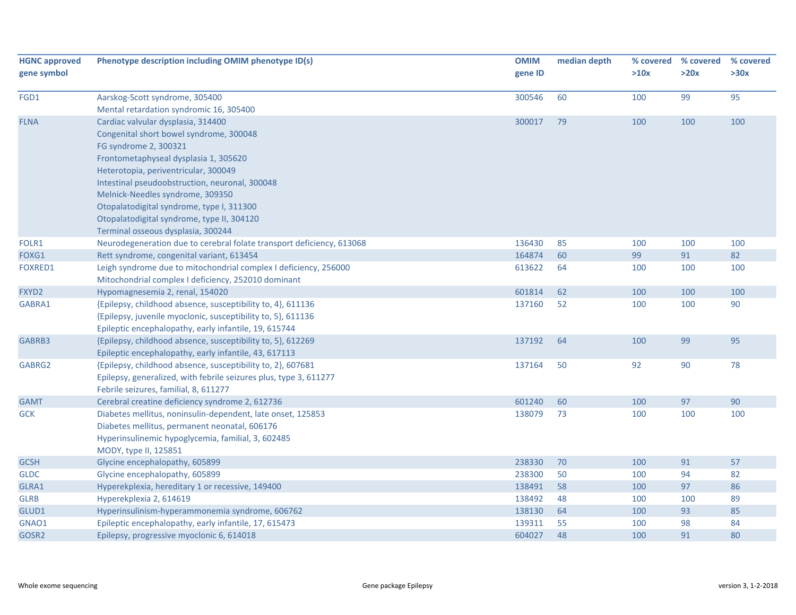| <b>HGNC approved</b><br>gene symbol | Phenotype description including OMIM phenotype ID(s)                                                                    | <b>OMIM</b><br>gene ID | median depth | % covered<br>>10x | % covered<br>>20x | % covered<br>>30x |
|-------------------------------------|-------------------------------------------------------------------------------------------------------------------------|------------------------|--------------|-------------------|-------------------|-------------------|
| FGD1                                | Aarskog-Scott syndrome, 305400                                                                                          | 300546                 | 60           | 100               | 99                | 95                |
|                                     | Mental retardation syndromic 16, 305400                                                                                 |                        |              |                   |                   |                   |
| <b>FLNA</b>                         | Cardiac valvular dysplasia, 314400                                                                                      | 300017                 | 79           | 100               | 100               | 100               |
|                                     | Congenital short bowel syndrome, 300048                                                                                 |                        |              |                   |                   |                   |
|                                     | FG syndrome 2, 300321                                                                                                   |                        |              |                   |                   |                   |
|                                     | Frontometaphyseal dysplasia 1, 305620                                                                                   |                        |              |                   |                   |                   |
|                                     | Heterotopia, periventricular, 300049                                                                                    |                        |              |                   |                   |                   |
|                                     | Intestinal pseudoobstruction, neuronal, 300048                                                                          |                        |              |                   |                   |                   |
|                                     | Melnick-Needles syndrome, 309350                                                                                        |                        |              |                   |                   |                   |
|                                     | Otopalatodigital syndrome, type I, 311300                                                                               |                        |              |                   |                   |                   |
|                                     | Otopalatodigital syndrome, type II, 304120                                                                              |                        |              |                   |                   |                   |
|                                     | Terminal osseous dysplasia, 300244                                                                                      |                        |              |                   |                   |                   |
| FOLR1                               | Neurodegeneration due to cerebral folate transport deficiency, 613068                                                   | 136430                 | 85           | 100               | 100               | 100               |
| FOXG1                               | Rett syndrome, congenital variant, 613454                                                                               | 164874                 | 60           | 99                | 91                | 82                |
| <b>FOXRED1</b>                      | Leigh syndrome due to mitochondrial complex I deficiency, 256000<br>Mitochondrial complex I deficiency, 252010 dominant | 613622                 | 64           | 100               | 100               | 100               |
| FXYD2                               | Hypomagnesemia 2, renal, 154020                                                                                         | 601814                 | 62           | 100               | 100               | 100               |
| GABRA1                              | {Epilepsy, childhood absence, susceptibility to, 4}, 611136                                                             | 137160                 | 52           | 100               | 100               | 90                |
|                                     | {Epilepsy, juvenile myoclonic, susceptibility to, 5}, 611136                                                            |                        |              |                   |                   |                   |
|                                     | Epileptic encephalopathy, early infantile, 19, 615744                                                                   |                        |              |                   |                   |                   |
| GABRB3                              | {Epilepsy, childhood absence, susceptibility to, 5}, 612269                                                             | 137192                 | 64           | 100               | 99                | 95                |
|                                     | Epileptic encephalopathy, early infantile, 43, 617113                                                                   |                        |              |                   |                   |                   |
| GABRG2                              | {Epilepsy, childhood absence, susceptibility to, 2}, 607681                                                             | 137164                 | 50           | 92                | 90                | 78                |
|                                     | Epilepsy, generalized, with febrile seizures plus, type 3, 611277                                                       |                        |              |                   |                   |                   |
|                                     | Febrile seizures, familial, 8, 611277                                                                                   |                        |              |                   |                   |                   |
| <b>GAMT</b>                         | Cerebral creatine deficiency syndrome 2, 612736                                                                         | 601240                 | 60           | 100               | 97                | 90                |
| <b>GCK</b>                          | Diabetes mellitus, noninsulin-dependent, late onset, 125853                                                             | 138079                 | 73           | 100               | 100               | 100               |
|                                     | Diabetes mellitus, permanent neonatal, 606176                                                                           |                        |              |                   |                   |                   |
|                                     | Hyperinsulinemic hypoglycemia, familial, 3, 602485                                                                      |                        |              |                   |                   |                   |
|                                     | MODY, type II, 125851                                                                                                   |                        |              |                   |                   |                   |
| <b>GCSH</b>                         | Glycine encephalopathy, 605899                                                                                          | 238330                 | 70           | 100               | 91                | 57                |
| <b>GLDC</b>                         | Glycine encephalopathy, 605899                                                                                          | 238300                 | 50           | 100               | 94                | 82                |
| GLRA1                               | Hyperekplexia, hereditary 1 or recessive, 149400                                                                        | 138491                 | 58           | 100               | 97                | 86                |
| <b>GLRB</b>                         | Hyperekplexia 2, 614619                                                                                                 | 138492                 | 48           | 100               | 100               | 89                |
| GLUD1                               | Hyperinsulinism-hyperammonemia syndrome, 606762                                                                         | 138130                 | 64           | 100               | 93                | 85                |
| GNAO1                               | Epileptic encephalopathy, early infantile, 17, 615473                                                                   | 139311                 | 55           | 100               | 98                | 84                |
| GOSR2                               | Epilepsy, progressive myoclonic 6, 614018                                                                               | 604027                 | 48           | 100               | 91                | 80                |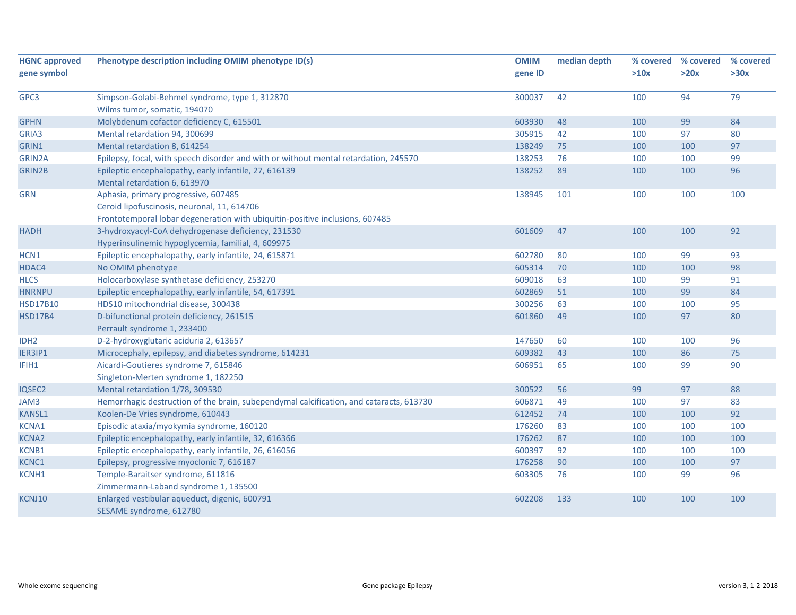| <b>HGNC approved</b><br>gene symbol | Phenotype description including OMIM phenotype ID(s)                                    | <b>OMIM</b><br>gene ID | median depth | % covered<br>>10x | % covered<br>>20x | % covered<br>>30x |
|-------------------------------------|-----------------------------------------------------------------------------------------|------------------------|--------------|-------------------|-------------------|-------------------|
|                                     |                                                                                         |                        |              |                   |                   |                   |
| GPC3                                | Simpson-Golabi-Behmel syndrome, type 1, 312870                                          | 300037                 | 42           | 100               | 94                | 79                |
|                                     | Wilms tumor, somatic, 194070                                                            |                        |              |                   |                   |                   |
| <b>GPHN</b>                         | Molybdenum cofactor deficiency C, 615501                                                | 603930                 | 48           | 100               | 99                | 84                |
| GRIA3                               | Mental retardation 94, 300699                                                           | 305915                 | 42           | 100               | 97                | 80                |
| GRIN1                               | Mental retardation 8, 614254                                                            | 138249                 | 75           | 100               | 100               | 97                |
| GRIN2A                              | Epilepsy, focal, with speech disorder and with or without mental retardation, 245570    | 138253                 | 76           | 100               | 100               | 99                |
| <b>GRIN2B</b>                       | Epileptic encephalopathy, early infantile, 27, 616139                                   | 138252                 | 89           | 100               | 100               | 96                |
|                                     | Mental retardation 6, 613970                                                            |                        |              |                   |                   |                   |
| <b>GRN</b>                          | Aphasia, primary progressive, 607485                                                    | 138945                 | 101          | 100               | 100               | 100               |
|                                     | Ceroid lipofuscinosis, neuronal, 11, 614706                                             |                        |              |                   |                   |                   |
|                                     | Frontotemporal lobar degeneration with ubiquitin-positive inclusions, 607485            |                        |              |                   |                   |                   |
| <b>HADH</b>                         | 3-hydroxyacyl-CoA dehydrogenase deficiency, 231530                                      | 601609                 | 47           | 100               | 100               | 92                |
|                                     | Hyperinsulinemic hypoglycemia, familial, 4, 609975                                      |                        |              |                   |                   |                   |
| HCN1                                | Epileptic encephalopathy, early infantile, 24, 615871                                   | 602780                 | 80           | 100               | 99                | 93                |
| HDAC4                               | No OMIM phenotype                                                                       | 605314                 | 70           | 100               | 100               | 98                |
| <b>HLCS</b>                         | Holocarboxylase synthetase deficiency, 253270                                           | 609018                 | 63           | 100               | 99                | 91                |
| <b>HNRNPU</b>                       | Epileptic encephalopathy, early infantile, 54, 617391                                   | 602869                 | 51           | 100               | 99                | 84                |
| <b>HSD17B10</b>                     | HDS10 mitochondrial disease, 300438                                                     | 300256                 | 63           | 100               | 100               | 95                |
| <b>HSD17B4</b>                      | D-bifunctional protein deficiency, 261515                                               | 601860                 | 49           | 100               | 97                | 80                |
|                                     | Perrault syndrome 1, 233400                                                             |                        |              |                   |                   |                   |
| IDH <sub>2</sub>                    | D-2-hydroxyglutaric aciduria 2, 613657                                                  | 147650                 | 60           | 100               | 100               | 96                |
| IER3IP1                             | Microcephaly, epilepsy, and diabetes syndrome, 614231                                   | 609382                 | 43           | 100               | 86                | 75                |
| IFIH1                               | Aicardi-Goutieres syndrome 7, 615846                                                    | 606951                 | 65           | 100               | 99                | 90                |
|                                     | Singleton-Merten syndrome 1, 182250                                                     |                        |              |                   |                   |                   |
| IQSEC2                              | Mental retardation 1/78, 309530                                                         | 300522                 | 56           | 99                | 97                | 88                |
| JAM3                                | Hemorrhagic destruction of the brain, subependymal calcification, and cataracts, 613730 | 606871                 | 49           | 100               | 97                | 83                |
| <b>KANSL1</b>                       | Koolen-De Vries syndrome, 610443                                                        | 612452                 | 74           | 100               | 100               | 92                |
| KCNA1                               | Episodic ataxia/myokymia syndrome, 160120                                               | 176260                 | 83           | 100               | 100               | 100               |
| <b>KCNA2</b>                        | Epileptic encephalopathy, early infantile, 32, 616366                                   | 176262                 | 87           | 100               | 100               | 100               |
| KCNB1                               | Epileptic encephalopathy, early infantile, 26, 616056                                   | 600397                 | 92           | 100               | 100               | 100               |
| KCNC1                               | Epilepsy, progressive myoclonic 7, 616187                                               | 176258                 | 90           | 100               | 100               | 97                |
| KCNH1                               | Temple-Baraitser syndrome, 611816                                                       | 603305                 | 76           | 100               | 99                | 96                |
|                                     | Zimmermann-Laband syndrome 1, 135500                                                    |                        |              |                   |                   |                   |
| KCNJ10                              | Enlarged vestibular aqueduct, digenic, 600791<br>SESAME syndrome, 612780                | 602208                 | 133          | 100               | 100               | 100               |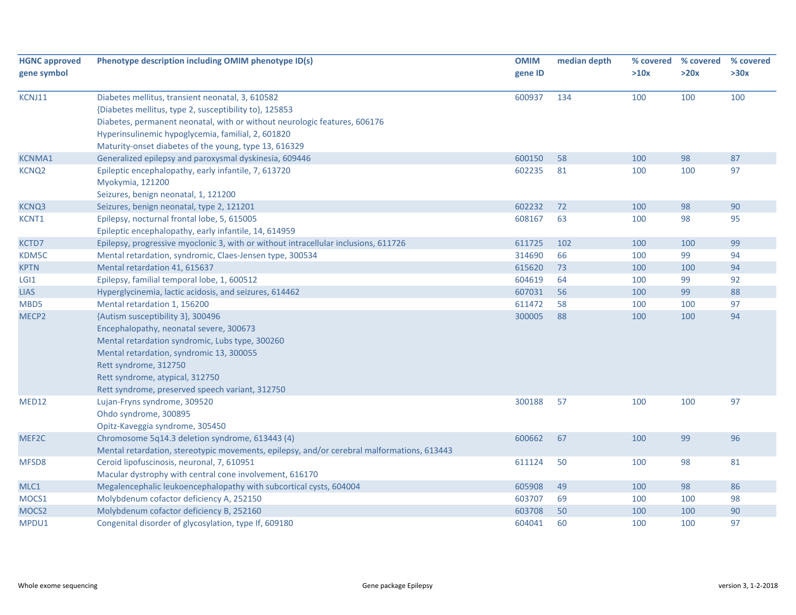| <b>HGNC approved</b> | Phenotype description including OMIM phenotype ID(s)                                       | <b>OMIM</b> | median depth | % covered | % covered | % covered |
|----------------------|--------------------------------------------------------------------------------------------|-------------|--------------|-----------|-----------|-----------|
| gene symbol          |                                                                                            | gene ID     |              | >10x      | >20x      | >30x      |
| KCNJ11               | Diabetes mellitus, transient neonatal, 3, 610582                                           | 600937      | 134          | 100       | 100       | 100       |
|                      | {Diabetes mellitus, type 2, susceptibility to}, 125853                                     |             |              |           |           |           |
|                      | Diabetes, permanent neonatal, with or without neurologic features, 606176                  |             |              |           |           |           |
|                      | Hyperinsulinemic hypoglycemia, familial, 2, 601820                                         |             |              |           |           |           |
|                      | Maturity-onset diabetes of the young, type 13, 616329                                      |             |              |           |           |           |
| <b>KCNMA1</b>        | Generalized epilepsy and paroxysmal dyskinesia, 609446                                     | 600150      | 58           | 100       | 98        | 87        |
| KCNQ <sub>2</sub>    | Epileptic encephalopathy, early infantile, 7, 613720                                       | 602235      | 81           | 100       | 100       | 97        |
|                      | Myokymia, 121200                                                                           |             |              |           |           |           |
|                      | Seizures, benign neonatal, 1, 121200                                                       |             |              |           |           |           |
| <b>KCNQ3</b>         | Seizures, benign neonatal, type 2, 121201                                                  | 602232      | 72           | 100       | 98        | 90        |
| KCNT1                | Epilepsy, nocturnal frontal lobe, 5, 615005                                                | 608167      | 63           | 100       | 98        | 95        |
|                      | Epileptic encephalopathy, early infantile, 14, 614959                                      |             |              |           |           |           |
| KCTD7                | Epilepsy, progressive myoclonic 3, with or without intracellular inclusions, 611726        | 611725      | 102          | 100       | 100       | 99        |
| KDM5C                | Mental retardation, syndromic, Claes-Jensen type, 300534                                   | 314690      | 66           | 100       | 99        | 94        |
| <b>KPTN</b>          | Mental retardation 41, 615637                                                              | 615620      | 73           | 100       | 100       | 94        |
| LGI <sub>1</sub>     | Epilepsy, familial temporal lobe, 1, 600512                                                | 604619      | 64           | 100       | 99        | 92        |
| <b>LIAS</b>          | Hyperglycinemia, lactic acidosis, and seizures, 614462                                     | 607031      | 56           | 100       | 99        | 88        |
| MBD5                 | Mental retardation 1, 156200                                                               | 611472      | 58           | 100       | 100       | 97        |
| MECP <sub>2</sub>    | {Autism susceptibility 3}, 300496                                                          | 300005      | 88           | 100       | 100       | 94        |
|                      | Encephalopathy, neonatal severe, 300673                                                    |             |              |           |           |           |
|                      | Mental retardation syndromic, Lubs type, 300260                                            |             |              |           |           |           |
|                      | Mental retardation, syndromic 13, 300055                                                   |             |              |           |           |           |
|                      | Rett syndrome, 312750                                                                      |             |              |           |           |           |
|                      | Rett syndrome, atypical, 312750                                                            |             |              |           |           |           |
|                      | Rett syndrome, preserved speech variant, 312750                                            |             |              |           |           |           |
| MED12                | Lujan-Fryns syndrome, 309520                                                               | 300188      | 57           | 100       | 100       | 97        |
|                      | Ohdo syndrome, 300895                                                                      |             |              |           |           |           |
|                      | Opitz-Kaveggia syndrome, 305450                                                            |             |              |           |           |           |
| MEF2C                | Chromosome 5q14.3 deletion syndrome, 613443 (4)                                            | 600662      | 67           | 100       | 99        | 96        |
|                      | Mental retardation, stereotypic movements, epilepsy, and/or cerebral malformations, 613443 |             |              |           |           |           |
| MFSD8                | Ceroid lipofuscinosis, neuronal, 7, 610951                                                 | 611124      | 50           | 100       | 98        | 81        |
|                      | Macular dystrophy with central cone involvement, 616170                                    |             |              |           |           |           |
| MLC1                 | Megalencephalic leukoencephalopathy with subcortical cysts, 604004                         | 605908      | 49           | 100       | 98        | 86        |
| MOCS1                | Molybdenum cofactor deficiency A, 252150                                                   | 603707      | 69           | 100       | 100       | 98        |
| MOCS <sub>2</sub>    | Molybdenum cofactor deficiency B, 252160                                                   | 603708      | 50           | 100       | 100       | 90        |
| MPDU1                | Congenital disorder of glycosylation, type If, 609180                                      | 604041      | 60           | 100       | 100       | 97        |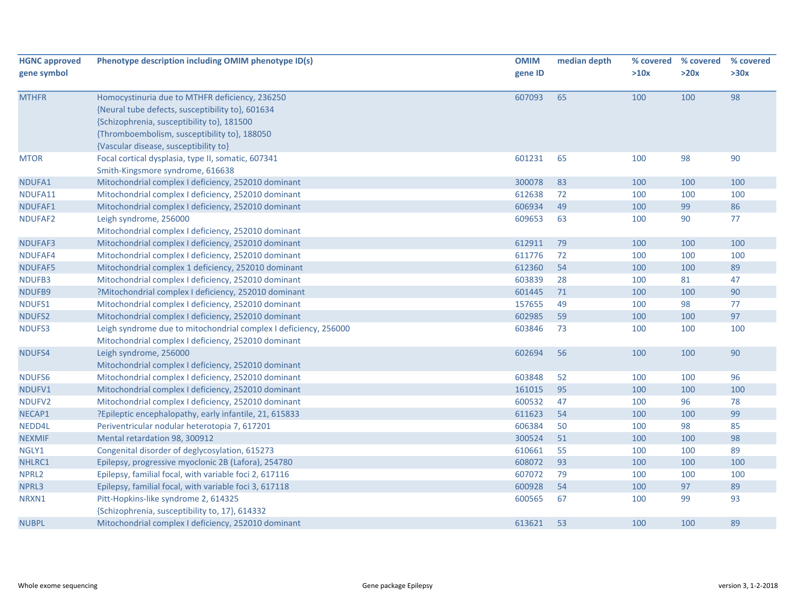| <b>HGNC approved</b> | Phenotype description including OMIM phenotype ID(s)             | <b>OMIM</b> | median depth | % covered | % covered | % covered |
|----------------------|------------------------------------------------------------------|-------------|--------------|-----------|-----------|-----------|
| gene symbol          |                                                                  | gene ID     |              | >10x      | >20x      | >30x      |
| <b>MTHFR</b>         | Homocystinuria due to MTHFR deficiency, 236250                   | 607093      | 65           | 100       | 100       | 98        |
|                      | {Neural tube defects, susceptibility to}, 601634                 |             |              |           |           |           |
|                      | {Schizophrenia, susceptibility to}, 181500                       |             |              |           |           |           |
|                      | {Thromboembolism, susceptibility to}, 188050                     |             |              |           |           |           |
|                      | {Vascular disease, susceptibility to}                            |             |              |           |           |           |
| <b>MTOR</b>          | Focal cortical dysplasia, type II, somatic, 607341               | 601231      | 65           | 100       | 98        | 90        |
|                      | Smith-Kingsmore syndrome, 616638                                 |             |              |           |           |           |
| NDUFA1               | Mitochondrial complex I deficiency, 252010 dominant              | 300078      | 83           | 100       | 100       | 100       |
| NDUFA11              | Mitochondrial complex I deficiency, 252010 dominant              | 612638      | 72           | 100       | 100       | 100       |
| NDUFAF1              | Mitochondrial complex I deficiency, 252010 dominant              | 606934      | 49           | 100       | 99        | 86        |
| NDUFAF2              | Leigh syndrome, 256000                                           | 609653      | 63           | 100       | 90        | 77        |
|                      | Mitochondrial complex I deficiency, 252010 dominant              |             |              |           |           |           |
| NDUFAF3              | Mitochondrial complex I deficiency, 252010 dominant              | 612911      | 79           | 100       | 100       | 100       |
| NDUFAF4              | Mitochondrial complex I deficiency, 252010 dominant              | 611776      | 72           | 100       | 100       | 100       |
| NDUFAF5              | Mitochondrial complex 1 deficiency, 252010 dominant              | 612360      | 54           | 100       | 100       | 89        |
| NDUFB3               | Mitochondrial complex I deficiency, 252010 dominant              | 603839      | 28           | 100       | 81        | 47        |
| NDUFB9               | ?Mitochondrial complex I deficiency, 252010 dominant             | 601445      | 71           | 100       | 100       | 90        |
| NDUFS1               | Mitochondrial complex I deficiency, 252010 dominant              | 157655      | 49           | 100       | 98        | 77        |
| NDUFS2               | Mitochondrial complex I deficiency, 252010 dominant              | 602985      | 59           | 100       | 100       | 97        |
| NDUFS3               | Leigh syndrome due to mitochondrial complex I deficiency, 256000 | 603846      | 73           | 100       | 100       | 100       |
|                      | Mitochondrial complex I deficiency, 252010 dominant              |             |              |           |           |           |
| NDUFS4               | Leigh syndrome, 256000                                           | 602694      | 56           | 100       | 100       | 90        |
|                      | Mitochondrial complex I deficiency, 252010 dominant              |             |              |           |           |           |
| NDUFS6               | Mitochondrial complex I deficiency, 252010 dominant              | 603848      | 52           | 100       | 100       | 96        |
| NDUFV1               | Mitochondrial complex I deficiency, 252010 dominant              | 161015      | 95           | 100       | 100       | 100       |
| NDUFV <sub>2</sub>   | Mitochondrial complex I deficiency, 252010 dominant              | 600532      | 47           | 100       | 96        | 78        |
| NECAP1               | ?Epileptic encephalopathy, early infantile, 21, 615833           | 611623      | 54           | 100       | 100       | 99        |
| NEDD4L               | Periventricular nodular heterotopia 7, 617201                    | 606384      | 50           | 100       | 98        | 85        |
| <b>NEXMIF</b>        | Mental retardation 98, 300912                                    | 300524      | 51           | 100       | 100       | 98        |
| NGLY1                | Congenital disorder of deglycosylation, 615273                   | 610661      | 55           | 100       | 100       | 89        |
| NHLRC1               | Epilepsy, progressive myoclonic 2B (Lafora), 254780              | 608072      | 93           | 100       | 100       | 100       |
| NPRL2                | Epilepsy, familial focal, with variable foci 2, 617116           | 607072      | 79           | 100       | 100       | 100       |
| NPRL3                | Epilepsy, familial focal, with variable foci 3, 617118           | 600928      | 54           | 100       | 97        | 89        |
| NRXN1                | Pitt-Hopkins-like syndrome 2, 614325                             | 600565      | 67           | 100       | 99        | 93        |
|                      | {Schizophrenia, susceptibility to, 17}, 614332                   |             |              |           |           |           |
| <b>NUBPL</b>         | Mitochondrial complex I deficiency, 252010 dominant              | 613621      | 53           | 100       | 100       | 89        |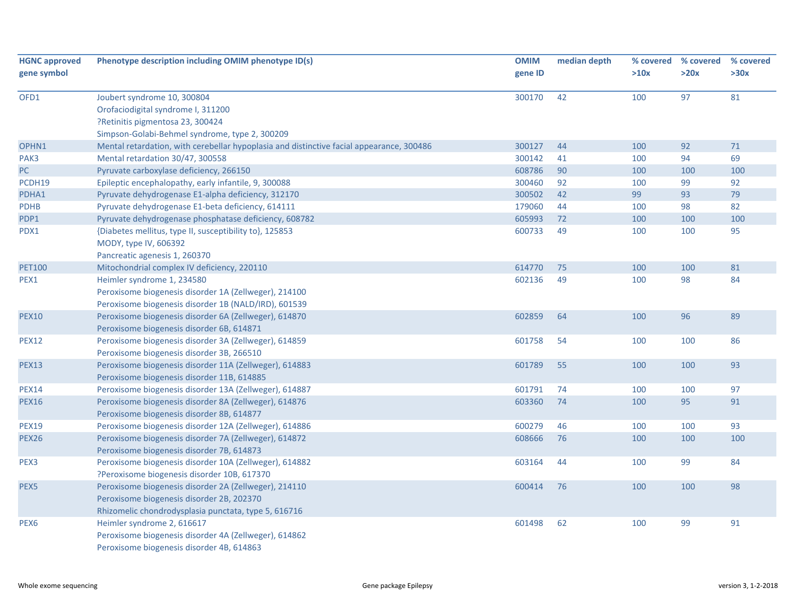| <b>HGNC approved</b> | Phenotype description including OMIM phenotype ID(s)                                     | <b>OMIM</b> | median depth | % covered | % covered | % covered |
|----------------------|------------------------------------------------------------------------------------------|-------------|--------------|-----------|-----------|-----------|
| gene symbol          |                                                                                          | gene ID     |              | >10x      | >20x      | >30x      |
| OFD1                 | Joubert syndrome 10, 300804                                                              | 300170      | 42           | 100       | 97        | 81        |
|                      | Orofaciodigital syndrome I, 311200                                                       |             |              |           |           |           |
|                      | ?Retinitis pigmentosa 23, 300424                                                         |             |              |           |           |           |
|                      | Simpson-Golabi-Behmel syndrome, type 2, 300209                                           |             |              |           |           |           |
| OPHN1                | Mental retardation, with cerebellar hypoplasia and distinctive facial appearance, 300486 | 300127      | 44           | 100       | 92        | 71        |
| PAK3                 | Mental retardation 30/47, 300558                                                         | 300142      | 41           | 100       | 94        | 69        |
| PC                   | Pyruvate carboxylase deficiency, 266150                                                  | 608786      | 90           | 100       | 100       | 100       |
| PCDH19               | Epileptic encephalopathy, early infantile, 9, 300088                                     | 300460      | 92           | 100       | 99        | 92        |
| PDHA1                | Pyruvate dehydrogenase E1-alpha deficiency, 312170                                       | 300502      | 42           | 99        | 93        | 79        |
| <b>PDHB</b>          | Pyruvate dehydrogenase E1-beta deficiency, 614111                                        | 179060      | 44           | 100       | 98        | 82        |
| PDP1                 | Pyruvate dehydrogenase phosphatase deficiency, 608782                                    | 605993      | 72           | 100       | 100       | 100       |
| PDX1                 | {Diabetes mellitus, type II, susceptibility to}, 125853                                  | 600733      | 49           | 100       | 100       | 95        |
|                      | MODY, type IV, 606392                                                                    |             |              |           |           |           |
|                      | Pancreatic agenesis 1, 260370                                                            |             |              |           |           |           |
| <b>PET100</b>        | Mitochondrial complex IV deficiency, 220110                                              | 614770      | 75           | 100       | 100       | 81        |
| PEX1                 | Heimler syndrome 1, 234580                                                               | 602136      | 49           | 100       | 98        | 84        |
|                      | Peroxisome biogenesis disorder 1A (Zellweger), 214100                                    |             |              |           |           |           |
|                      | Peroxisome biogenesis disorder 1B (NALD/IRD), 601539                                     |             |              |           |           |           |
| <b>PEX10</b>         | Peroxisome biogenesis disorder 6A (Zellweger), 614870                                    | 602859      | 64           | 100       | 96        | 89        |
|                      | Peroxisome biogenesis disorder 6B, 614871                                                |             |              |           |           |           |
| <b>PEX12</b>         | Peroxisome biogenesis disorder 3A (Zellweger), 614859                                    | 601758      | 54           | 100       | 100       | 86        |
|                      | Peroxisome biogenesis disorder 3B, 266510                                                |             |              |           |           |           |
| <b>PEX13</b>         | Peroxisome biogenesis disorder 11A (Zellweger), 614883                                   | 601789      | 55           | 100       | 100       | 93        |
|                      | Peroxisome biogenesis disorder 11B, 614885                                               |             |              |           |           |           |
| <b>PEX14</b>         | Peroxisome biogenesis disorder 13A (Zellweger), 614887                                   | 601791      | 74           | 100       | 100       | 97        |
| <b>PEX16</b>         | Peroxisome biogenesis disorder 8A (Zellweger), 614876                                    | 603360      | 74           | 100       | 95        | 91        |
|                      | Peroxisome biogenesis disorder 8B, 614877                                                |             |              |           |           |           |
| <b>PEX19</b>         | Peroxisome biogenesis disorder 12A (Zellweger), 614886                                   | 600279      | 46           | 100       | 100       | 93        |
| <b>PEX26</b>         | Peroxisome biogenesis disorder 7A (Zellweger), 614872                                    | 608666      | 76           | 100       | 100       | 100       |
|                      | Peroxisome biogenesis disorder 7B, 614873                                                |             |              |           |           |           |
| PEX3                 | Peroxisome biogenesis disorder 10A (Zellweger), 614882                                   | 603164      | 44           | 100       | 99        | 84        |
|                      | ?Peroxisome biogenesis disorder 10B, 617370                                              |             |              |           |           |           |
| PEX5                 | Peroxisome biogenesis disorder 2A (Zellweger), 214110                                    | 600414      | 76           | 100       | 100       | 98        |
|                      | Peroxisome biogenesis disorder 2B, 202370                                                |             |              |           |           |           |
|                      | Rhizomelic chondrodysplasia punctata, type 5, 616716                                     |             |              |           |           |           |
| PEX <sub>6</sub>     | Heimler syndrome 2, 616617                                                               | 601498      | 62           | 100       | 99        | 91        |
|                      | Peroxisome biogenesis disorder 4A (Zellweger), 614862                                    |             |              |           |           |           |
|                      | Peroxisome biogenesis disorder 4B, 614863                                                |             |              |           |           |           |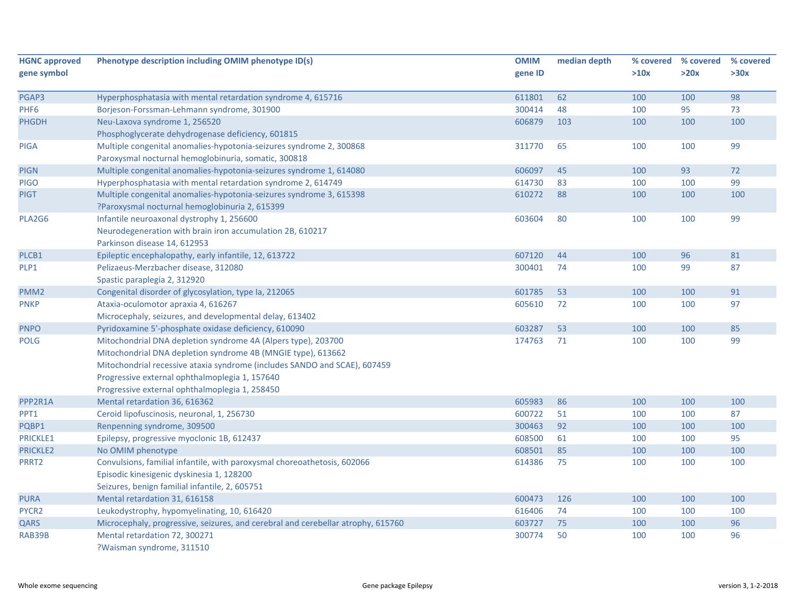| <b>HGNC approved</b> | Phenotype description including OMIM phenotype ID(s)                             | <b>OMIM</b> | median depth | % covered | % covered | % covered |
|----------------------|----------------------------------------------------------------------------------|-------------|--------------|-----------|-----------|-----------|
| gene symbol          |                                                                                  | gene ID     |              | >10x      | >20x      | >30x      |
| PGAP3                | Hyperphosphatasia with mental retardation syndrome 4, 615716                     | 611801      | 62           | 100       | 100       | 98        |
| PHF <sub>6</sub>     | Borjeson-Forssman-Lehmann syndrome, 301900                                       | 300414      | 48           | 100       | 95        | 73        |
| <b>PHGDH</b>         | Neu-Laxova syndrome 1, 256520                                                    | 606879      | 103          | 100       | 100       | 100       |
|                      | Phosphoglycerate dehydrogenase deficiency, 601815                                |             |              |           |           |           |
| <b>PIGA</b>          | Multiple congenital anomalies-hypotonia-seizures syndrome 2, 300868              | 311770      | 65           | 100       | 100       | 99        |
|                      | Paroxysmal nocturnal hemoglobinuria, somatic, 300818                             |             |              |           |           |           |
| <b>PIGN</b>          | Multiple congenital anomalies-hypotonia-seizures syndrome 1, 614080              | 606097      | 45           | 100       | 93        | 72        |
| <b>PIGO</b>          | Hyperphosphatasia with mental retardation syndrome 2, 614749                     | 614730      | 83           | 100       | 100       | 99        |
| <b>PIGT</b>          | Multiple congenital anomalies-hypotonia-seizures syndrome 3, 615398              | 610272      | 88           | 100       | 100       | 100       |
|                      | ?Paroxysmal nocturnal hemoglobinuria 2, 615399                                   |             |              |           |           |           |
| PLA2G6               | Infantile neuroaxonal dystrophy 1, 256600                                        | 603604      | 80           | 100       | 100       | 99        |
|                      | Neurodegeneration with brain iron accumulation 2B, 610217                        |             |              |           |           |           |
|                      | Parkinson disease 14, 612953                                                     |             |              |           |           |           |
| PLCB1                | Epileptic encephalopathy, early infantile, 12, 613722                            | 607120      | 44           | 100       | 96        | 81        |
| PLP1                 | Pelizaeus-Merzbacher disease, 312080                                             | 300401      | 74           | 100       | 99        | 87        |
|                      | Spastic paraplegia 2, 312920                                                     |             |              |           |           |           |
| PMM <sub>2</sub>     | Congenital disorder of glycosylation, type Ia, 212065                            | 601785      | 53           | 100       | 100       | 91        |
| <b>PNKP</b>          | Ataxia-oculomotor apraxia 4, 616267                                              | 605610      | 72           | 100       | 100       | 97        |
|                      | Microcephaly, seizures, and developmental delay, 613402                          |             |              |           |           |           |
| <b>PNPO</b>          | Pyridoxamine 5'-phosphate oxidase deficiency, 610090                             | 603287      | 53           | 100       | 100       | 85        |
| <b>POLG</b>          | Mitochondrial DNA depletion syndrome 4A (Alpers type), 203700                    | 174763      | 71           | 100       | 100       | 99        |
|                      | Mitochondrial DNA depletion syndrome 4B (MNGIE type), 613662                     |             |              |           |           |           |
|                      | Mitochondrial recessive ataxia syndrome (includes SANDO and SCAE), 607459        |             |              |           |           |           |
|                      | Progressive external ophthalmoplegia 1, 157640                                   |             |              |           |           |           |
|                      | Progressive external ophthalmoplegia 1, 258450                                   |             |              |           |           |           |
| PPP2R1A              | Mental retardation 36, 616362                                                    | 605983      | 86           | 100       | 100       | 100       |
| PPT1                 | Ceroid lipofuscinosis, neuronal, 1, 256730                                       | 600722      | 51           | 100       | 100       | 87        |
| PQBP1                | Renpenning syndrome, 309500                                                      | 300463      | 92           | 100       | 100       | 100       |
| <b>PRICKLE1</b>      | Epilepsy, progressive myoclonic 1B, 612437                                       | 608500      | 61           | 100       | 100       | 95        |
| <b>PRICKLE2</b>      | No OMIM phenotype                                                                | 608501      | 85           | 100       | 100       | 100       |
| PRRT2                | Convulsions, familial infantile, with paroxysmal choreoathetosis, 602066         | 614386      | 75           | 100       | 100       | 100       |
|                      | Episodic kinesigenic dyskinesia 1, 128200                                        |             |              |           |           |           |
|                      | Seizures, benign familial infantile, 2, 605751                                   |             |              |           |           |           |
| <b>PURA</b>          | Mental retardation 31, 616158                                                    | 600473      | 126          | 100       | 100       | 100       |
| PYCR2                | Leukodystrophy, hypomyelinating, 10, 616420                                      | 616406      | 74           | 100       | 100       | 100       |
| QARS                 | Microcephaly, progressive, seizures, and cerebral and cerebellar atrophy, 615760 | 603727      | 75           | 100       | 100       | 96        |
| RAB39B               | Mental retardation 72, 300271                                                    | 300774      | 50           | 100       | 100       | 96        |
|                      | ?Waisman syndrome, 311510                                                        |             |              |           |           |           |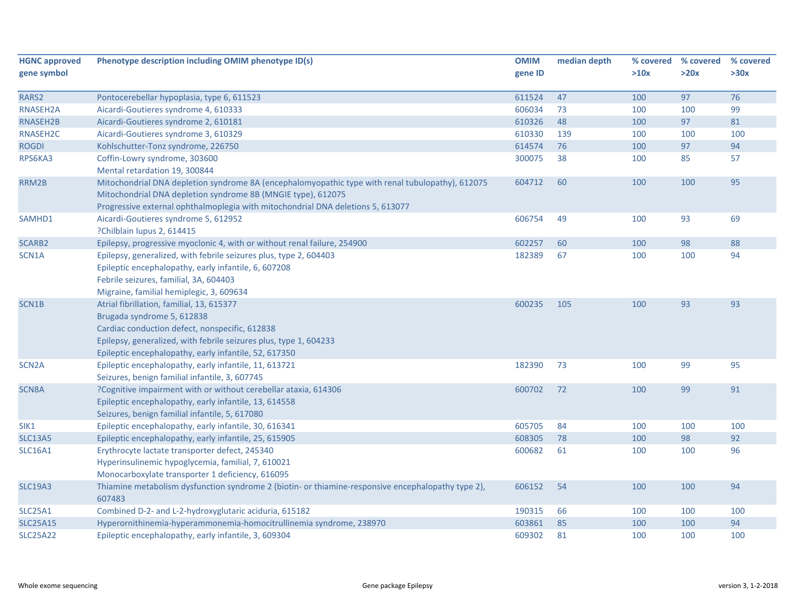| <b>HGNC approved</b> | Phenotype description including OMIM phenotype ID(s)                                                         | <b>OMIM</b> | median depth | % covered | % covered | % covered |
|----------------------|--------------------------------------------------------------------------------------------------------------|-------------|--------------|-----------|-----------|-----------|
| gene symbol          |                                                                                                              | gene ID     |              | >10x      | >20x      | >30x      |
|                      |                                                                                                              |             |              |           |           |           |
| RARS2                | Pontocerebellar hypoplasia, type 6, 611523                                                                   | 611524      | 47           | 100       | 97        | 76        |
| RNASEH2A             | Aicardi-Goutieres syndrome 4, 610333                                                                         | 606034      | 73           | 100       | 100       | 99        |
| RNASEH2B             | Aicardi-Goutieres syndrome 2, 610181                                                                         | 610326      | 48           | 100       | 97        | 81        |
| RNASEH <sub>2C</sub> | Aicardi-Goutieres syndrome 3, 610329                                                                         | 610330      | 139          | 100       | 100       | 100       |
| <b>ROGDI</b>         | Kohlschutter-Tonz syndrome, 226750                                                                           | 614574      | 76           | 100       | 97        | 94        |
| RPS6KA3              | Coffin-Lowry syndrome, 303600<br>Mental retardation 19, 300844                                               | 300075      | 38           | 100       | 85        | 57        |
| RRM2B                | Mitochondrial DNA depletion syndrome 8A (encephalomyopathic type with renal tubulopathy), 612075             | 604712      | 60           | 100       | 100       | 95        |
|                      | Mitochondrial DNA depletion syndrome 8B (MNGIE type), 612075                                                 |             |              |           |           |           |
|                      | Progressive external ophthalmoplegia with mitochondrial DNA deletions 5, 613077                              |             |              |           |           |           |
| SAMHD1               | Aicardi-Goutieres syndrome 5, 612952                                                                         | 606754      | 49           | 100       | 93        | 69        |
|                      | ?Chilblain lupus 2, 614415                                                                                   |             |              |           |           |           |
| <b>SCARB2</b>        | Epilepsy, progressive myoclonic 4, with or without renal failure, 254900                                     | 602257      | 60           | 100       | 98        | 88        |
| SCN1A                | Epilepsy, generalized, with febrile seizures plus, type 2, 604403                                            | 182389      | 67           | 100       | 100       | 94        |
|                      | Epileptic encephalopathy, early infantile, 6, 607208                                                         |             |              |           |           |           |
|                      | Febrile seizures, familial, 3A, 604403                                                                       |             |              |           |           |           |
|                      | Migraine, familial hemiplegic, 3, 609634                                                                     |             |              |           |           |           |
| SCN1B                | Atrial fibrillation, familial, 13, 615377                                                                    | 600235      | 105          | 100       | 93        | 93        |
|                      | Brugada syndrome 5, 612838                                                                                   |             |              |           |           |           |
|                      | Cardiac conduction defect, nonspecific, 612838                                                               |             |              |           |           |           |
|                      | Epilepsy, generalized, with febrile seizures plus, type 1, 604233                                            |             |              |           |           |           |
|                      | Epileptic encephalopathy, early infantile, 52, 617350                                                        |             |              |           |           |           |
| SCN <sub>2</sub> A   | Epileptic encephalopathy, early infantile, 11, 613721                                                        | 182390      | 73           | 100       | 99        | 95        |
|                      | Seizures, benign familial infantile, 3, 607745                                                               |             |              |           |           |           |
| SCN8A                | ?Cognitive impairment with or without cerebellar ataxia, 614306                                              | 600702      | 72           | 100       | 99        | 91        |
|                      | Epileptic encephalopathy, early infantile, 13, 614558                                                        |             |              |           |           |           |
|                      | Seizures, benign familial infantile, 5, 617080                                                               |             |              |           |           |           |
| SIK1                 | Epileptic encephalopathy, early infantile, 30, 616341                                                        | 605705      | 84           | 100       | 100       | 100       |
| <b>SLC13A5</b>       | Epileptic encephalopathy, early infantile, 25, 615905                                                        | 608305      | 78           | 100       | 98        | 92        |
| <b>SLC16A1</b>       | Erythrocyte lactate transporter defect, 245340                                                               | 600682      | 61           | 100       | 100       | 96        |
|                      | Hyperinsulinemic hypoglycemia, familial, 7, 610021                                                           |             |              |           |           |           |
|                      | Monocarboxylate transporter 1 deficiency, 616095                                                             |             |              |           |           |           |
| <b>SLC19A3</b>       | Thiamine metabolism dysfunction syndrome 2 (biotin- or thiamine-responsive encephalopathy type 2),<br>607483 | 606152      | 54           | 100       | 100       | 94        |
| <b>SLC25A1</b>       | Combined D-2- and L-2-hydroxyglutaric aciduria, 615182                                                       | 190315      | 66           | 100       | 100       | 100       |
| <b>SLC25A15</b>      | Hyperornithinemia-hyperammonemia-homocitrullinemia syndrome, 238970                                          | 603861      | 85           | 100       | 100       | 94        |
| <b>SLC25A22</b>      | Epileptic encephalopathy, early infantile, 3, 609304                                                         | 609302      | 81           | 100       | 100       | 100       |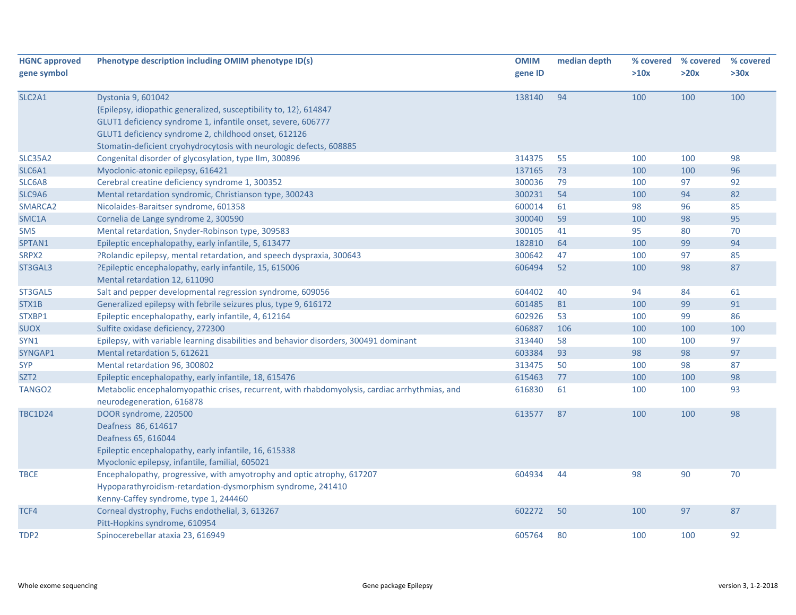| <b>HGNC approved</b> | Phenotype description including OMIM phenotype ID(s)                                          | <b>OMIM</b> | median depth | % covered | % covered | % covered |
|----------------------|-----------------------------------------------------------------------------------------------|-------------|--------------|-----------|-----------|-----------|
| gene symbol          |                                                                                               | gene ID     |              | >10x      | >20x      | >30x      |
| SLC2A1               | Dystonia 9, 601042                                                                            | 138140      | 94           | 100       | 100       | 100       |
|                      | {Epilepsy, idiopathic generalized, susceptibility to, 12}, 614847                             |             |              |           |           |           |
|                      | GLUT1 deficiency syndrome 1, infantile onset, severe, 606777                                  |             |              |           |           |           |
|                      | GLUT1 deficiency syndrome 2, childhood onset, 612126                                          |             |              |           |           |           |
|                      | Stomatin-deficient cryohydrocytosis with neurologic defects, 608885                           |             |              |           |           |           |
| <b>SLC35A2</b>       | Congenital disorder of glycosylation, type IIm, 300896                                        | 314375      | 55           | 100       | 100       | 98        |
| SLC6A1               | Myoclonic-atonic epilepsy, 616421                                                             | 137165      | 73           | 100       | 100       | 96        |
| SLC6A8               | Cerebral creatine deficiency syndrome 1, 300352                                               | 300036      | 79           | 100       | 97        | 92        |
| SLC9A6               | Mental retardation syndromic, Christianson type, 300243                                       | 300231      | 54           | 100       | 94        | 82        |
| SMARCA2              | Nicolaides-Baraitser syndrome, 601358                                                         | 600014      | 61           | 98        | 96        | 85        |
| SMC1A                | Cornelia de Lange syndrome 2, 300590                                                          | 300040      | 59           | 100       | 98        | 95        |
| <b>SMS</b>           | Mental retardation, Snyder-Robinson type, 309583                                              | 300105      | 41           | 95        | 80        | 70        |
| SPTAN1               | Epileptic encephalopathy, early infantile, 5, 613477                                          | 182810      | 64           | 100       | 99        | 94        |
| SRPX2                | ?Rolandic epilepsy, mental retardation, and speech dyspraxia, 300643                          | 300642      | 47           | 100       | 97        | 85        |
| ST3GAL3              | ?Epileptic encephalopathy, early infantile, 15, 615006                                        | 606494      | 52           | 100       | 98        | 87        |
|                      | Mental retardation 12, 611090                                                                 |             |              |           |           |           |
| ST3GAL5              | Salt and pepper developmental regression syndrome, 609056                                     | 604402      | 40           | 94        | 84        | 61        |
| STX1B                | Generalized epilepsy with febrile seizures plus, type 9, 616172                               | 601485      | 81           | 100       | 99        | 91        |
| STXBP1               | Epileptic encephalopathy, early infantile, 4, 612164                                          | 602926      | 53           | 100       | 99        | 86        |
| <b>SUOX</b>          | Sulfite oxidase deficiency, 272300                                                            | 606887      | 106          | 100       | 100       | 100       |
| SYN1                 | Epilepsy, with variable learning disabilities and behavior disorders, 300491 dominant         | 313440      | 58           | 100       | 100       | 97        |
| SYNGAP1              | Mental retardation 5, 612621                                                                  | 603384      | 93           | 98        | 98        | 97        |
| <b>SYP</b>           | Mental retardation 96, 300802                                                                 | 313475      | 50           | 100       | 98        | 87        |
| SZT <sub>2</sub>     | Epileptic encephalopathy, early infantile, 18, 615476                                         | 615463      | 77           | 100       | 100       | 98        |
| TANGO <sub>2</sub>   | Metabolic encephalomyopathic crises, recurrent, with rhabdomyolysis, cardiac arrhythmias, and | 616830      | 61           | 100       | 100       | 93        |
|                      | neurodegeneration, 616878                                                                     |             |              |           |           |           |
| <b>TBC1D24</b>       | DOOR syndrome, 220500                                                                         | 613577      | 87           | 100       | 100       | 98        |
|                      | Deafness 86, 614617                                                                           |             |              |           |           |           |
|                      | Deafness 65, 616044                                                                           |             |              |           |           |           |
|                      | Epileptic encephalopathy, early infantile, 16, 615338                                         |             |              |           |           |           |
|                      | Myoclonic epilepsy, infantile, familial, 605021                                               |             |              |           |           |           |
| <b>TBCE</b>          | Encephalopathy, progressive, with amyotrophy and optic atrophy, 617207                        | 604934      | 44           | 98        | 90        | 70        |
|                      | Hypoparathyroidism-retardation-dysmorphism syndrome, 241410                                   |             |              |           |           |           |
|                      | Kenny-Caffey syndrome, type 1, 244460                                                         |             |              |           |           |           |
| TCF4                 | Corneal dystrophy, Fuchs endothelial, 3, 613267                                               | 602272      | 50           | 100       | 97        | 87        |
|                      | Pitt-Hopkins syndrome, 610954                                                                 |             |              |           |           |           |
| TDP2                 | Spinocerebellar ataxia 23, 616949                                                             | 605764      | 80           | 100       | 100       | 92        |